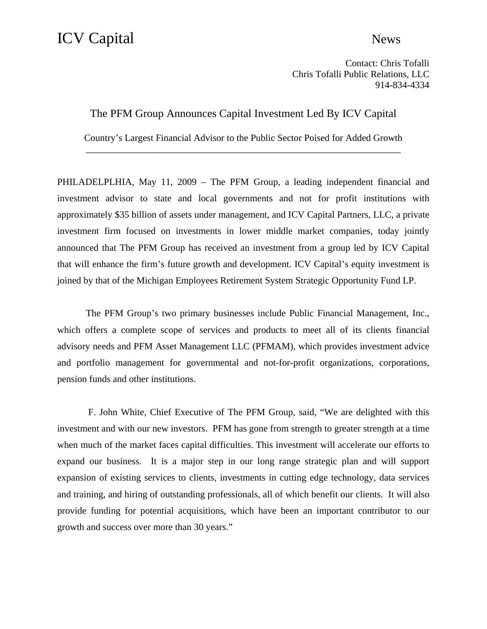## ICV Capital News

Contact: Chris Tofalli Chris Tofalli Public Relations, LLC 914-834-4334

The PFM Group Announces Capital Investment Led By ICV Capital

Country's Largest Financial Advisor to the Public Sector Poised for Added Growth \_\_\_\_\_\_\_\_\_\_\_\_\_\_\_\_\_\_\_\_\_\_\_\_\_\_\_\_\_\_\_\_\_\_\_\_\_\_\_\_\_\_\_\_\_\_\_\_\_\_\_\_\_\_\_\_\_\_\_\_\_\_\_\_\_\_

PHILADELPLHIA, May 11, 2009 – The PFM Group, a leading independent financial and investment advisor to state and local governments and not for profit institutions with approximately \$35 billion of assets under management, and ICV Capital Partners, LLC, a private investment firm focused on investments in lower middle market companies, today jointly announced that The PFM Group has received an investment from a group led by ICV Capital that will enhance the firm's future growth and development. ICV Capital's equity investment is joined by that of the Michigan Employees Retirement System Strategic Opportunity Fund LP.

The PFM Group's two primary businesses include Public Financial Management, Inc., which offers a complete scope of services and products to meet all of its clients financial advisory needs and PFM Asset Management LLC (PFMAM), which provides investment advice and portfolio management for governmental and not-for-profit organizations, corporations, pension funds and other institutions.

 F. John White, Chief Executive of The PFM Group, said, "We are delighted with this investment and with our new investors. PFM has gone from strength to greater strength at a time when much of the market faces capital difficulties. This investment will accelerate our efforts to expand our business. It is a major step in our long range strategic plan and will support expansion of existing services to clients, investments in cutting edge technology, data services and training, and hiring of outstanding professionals, all of which benefit our clients. It will also provide funding for potential acquisitions, which have been an important contributor to our growth and success over more than 30 years."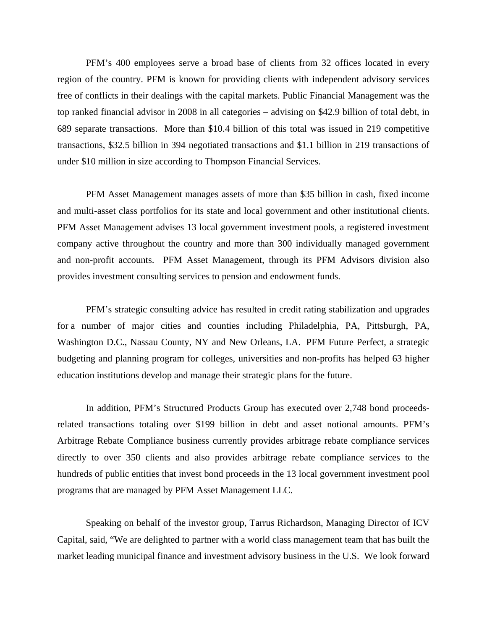PFM's 400 employees serve a broad base of clients from 32 offices located in every region of the country. PFM is known for providing clients with independent advisory services free of conflicts in their dealings with the capital markets. Public Financial Management was the top ranked financial advisor in 2008 in all categories – advising on \$42.9 billion of total debt, in 689 separate transactions. More than \$10.4 billion of this total was issued in 219 competitive transactions, \$32.5 billion in 394 negotiated transactions and \$1.1 billion in 219 transactions of under \$10 million in size according to Thompson Financial Services.

PFM Asset Management manages assets of more than \$35 billion in cash, fixed income and multi-asset class portfolios for its state and local government and other institutional clients. PFM Asset Management advises 13 local government investment pools, a registered investment company active throughout the country and more than 300 individually managed government and non-profit accounts. PFM Asset Management, through its PFM Advisors division also provides investment consulting services to pension and endowment funds.

PFM's strategic consulting advice has resulted in credit rating stabilization and upgrades for a number of major cities and counties including Philadelphia, PA, Pittsburgh, PA, Washington D.C., Nassau County, NY and New Orleans, LA. PFM Future Perfect, a strategic budgeting and planning program for colleges, universities and non-profits has helped 63 higher education institutions develop and manage their strategic plans for the future.

In addition, PFM's Structured Products Group has executed over 2,748 bond proceedsrelated transactions totaling over \$199 billion in debt and asset notional amounts. PFM's Arbitrage Rebate Compliance business currently provides arbitrage rebate compliance services directly to over 350 clients and also provides arbitrage rebate compliance services to the hundreds of public entities that invest bond proceeds in the 13 local government investment pool programs that are managed by PFM Asset Management LLC.

Speaking on behalf of the investor group, Tarrus Richardson, Managing Director of ICV Capital, said, "We are delighted to partner with a world class management team that has built the market leading municipal finance and investment advisory business in the U.S. We look forward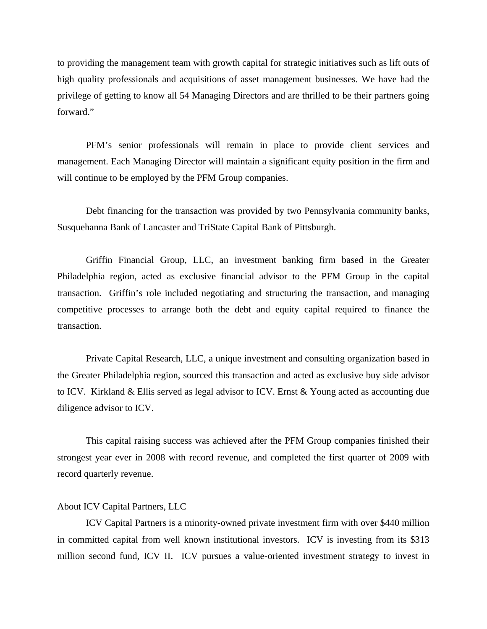to providing the management team with growth capital for strategic initiatives such as lift outs of high quality professionals and acquisitions of asset management businesses. We have had the privilege of getting to know all 54 Managing Directors and are thrilled to be their partners going forward."

PFM's senior professionals will remain in place to provide client services and management. Each Managing Director will maintain a significant equity position in the firm and will continue to be employed by the PFM Group companies.

Debt financing for the transaction was provided by two Pennsylvania community banks, Susquehanna Bank of Lancaster and TriState Capital Bank of Pittsburgh.

Griffin Financial Group, LLC, an investment banking firm based in the Greater Philadelphia region, acted as exclusive financial advisor to the PFM Group in the capital transaction. Griffin's role included negotiating and structuring the transaction, and managing competitive processes to arrange both the debt and equity capital required to finance the transaction.

Private Capital Research, LLC, a unique investment and consulting organization based in the Greater Philadelphia region, sourced this transaction and acted as exclusive buy side advisor to ICV. Kirkland & Ellis served as legal advisor to ICV. Ernst & Young acted as accounting due diligence advisor to ICV.

This capital raising success was achieved after the PFM Group companies finished their strongest year ever in 2008 with record revenue, and completed the first quarter of 2009 with record quarterly revenue.

## About ICV Capital Partners, LLC

ICV Capital Partners is a minority-owned private investment firm with over \$440 million in committed capital from well known institutional investors. ICV is investing from its \$313 million second fund, ICV II. ICV pursues a value-oriented investment strategy to invest in